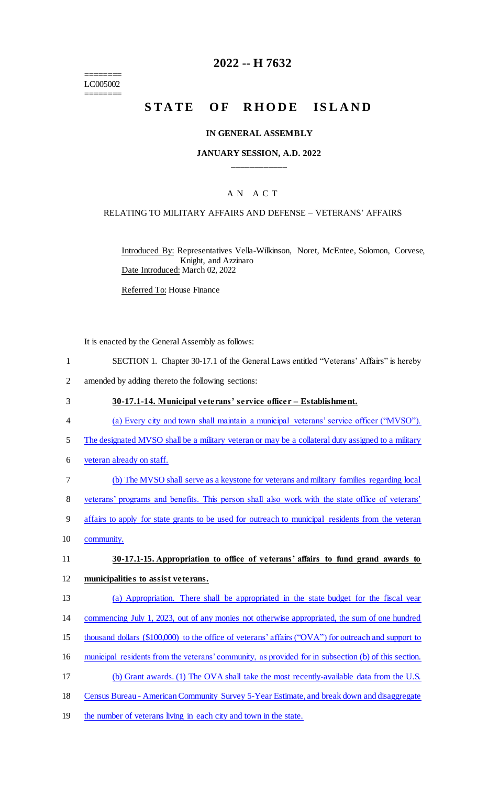======== LC005002 ========

# **2022 -- H 7632**

# STATE OF RHODE ISLAND

#### **IN GENERAL ASSEMBLY**

#### **JANUARY SESSION, A.D. 2022 \_\_\_\_\_\_\_\_\_\_\_\_**

### A N A C T

#### RELATING TO MILITARY AFFAIRS AND DEFENSE – VETERANS' AFFAIRS

Introduced By: Representatives Vella-Wilkinson, Noret, McEntee, Solomon, Corvese, Knight, and Azzinaro Date Introduced: March 02, 2022

Referred To: House Finance

It is enacted by the General Assembly as follows:

- 1 SECTION 1. Chapter 30-17.1 of the General Laws entitled "Veterans' Affairs" is hereby
- 2 amended by adding thereto the following sections:
- 3 **30-17.1-14. Municipal veterans' service officer – Establishment.**
- 4 (a) Every city and town shall maintain a municipal veterans' service officer ("MVSO").
- 5 The designated MVSO shall be a military veteran or may be a collateral duty assigned to a military
- 6 veteran already on staff.
- 7 (b) The MVSO shall serve as a keystone for veterans and military families regarding local
- 8 veterans' programs and benefits. This person shall also work with the state office of veterans'
- 9 affairs to apply for state grants to be used for outreach to municipal residents from the veteran
- 10 community.

### 11 **30-17.1-15. Appropriation to office of veterans' affairs to fund grand awards to**

#### 12 **municipalities to assist veterans.**

- 13 (a) Appropriation. There shall be appropriated in the state budget for the fiscal year
- 14 commencing July 1, 2023, out of any monies not otherwise appropriated, the sum of one hundred
- 15 thousand dollars (\$100,000) to the office of veterans' affairs ("OVA") for outreach and support to
- 16 municipal residents from the veterans' community, as provided for in subsection (b) of this section.
- 17 (b) Grant awards. (1) The OVA shall take the most recently-available data from the U.S.
- 18 Census Bureau American Community Survey 5-Year Estimate, and break down and disaggregate
- 19 the number of veterans living in each city and town in the state.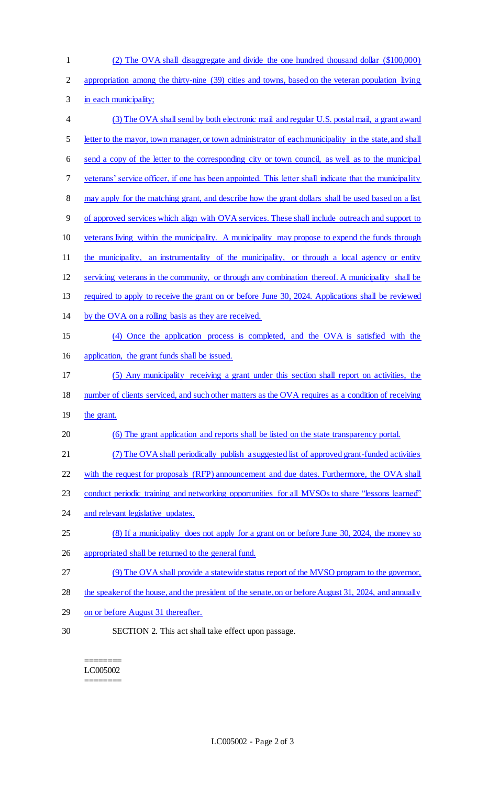| $\mathbf{1}$   | (2) The OVA shall disaggregate and divide the one hundred thousand dollar (\$100,000)                  |
|----------------|--------------------------------------------------------------------------------------------------------|
| $\overline{2}$ | appropriation among the thirty-nine (39) cities and towns, based on the veteran population living      |
| 3              | in each municipality;                                                                                  |
| $\overline{4}$ | (3) The OVA shall send by both electronic mail and regular U.S. postal mail, a grant award             |
| 5              | letter to the mayor, town manager, or town administrator of each municipality in the state, and shall  |
| 6              | send a copy of the letter to the corresponding city or town council, as well as to the municipal       |
| 7              | veterans' service officer, if one has been appointed. This letter shall indicate that the municipality |
| $\,8\,$        | may apply for the matching grant, and describe how the grant dollars shall be used based on a list     |
| 9              | of approved services which align with OVA services. These shall include outreach and support to        |
| 10             | veterans living within the municipality. A municipality may propose to expend the funds through        |
| 11             | the municipality, an instrumentality of the municipality, or through a local agency or entity          |
| 12             | servicing veterans in the community, or through any combination thereof. A municipality shall be       |
| 13             | required to apply to receive the grant on or before June 30, 2024. Applications shall be reviewed      |
| 14             | by the OVA on a rolling basis as they are received.                                                    |
| 15             | (4) Once the application process is completed, and the OVA is satisfied with the                       |
| 16             | application, the grant funds shall be issued.                                                          |
| 17             | (5) Any municipality receiving a grant under this section shall report on activities, the              |
| 18             | number of clients serviced, and such other matters as the OVA requires as a condition of receiving     |
| 19             | the grant.                                                                                             |
| 20             | (6) The grant application and reports shall be listed on the state transparency portal.                |
| 21             | (7) The OVA shall periodically publish a suggested list of approved grant-funded activities            |
| 22             | with the request for proposals (RFP) announcement and due dates. Furthermore, the OVA shall            |
| 23             | conduct periodic training and networking opportunities for all MVSOs to share "lessons learned"        |
| 24             | and relevant legislative updates.                                                                      |
| 25             | (8) If a municipality does not apply for a grant on or before June 30, 2024, the money so              |
| 26             | appropriated shall be returned to the general fund.                                                    |
| 27             | (9) The OVA shall provide a statewide status report of the MVSO program to the governor,               |
| 28             | the speaker of the house, and the president of the senate, on or before August 31, 2024, and annually  |
| 29             | on or before August 31 thereafter.                                                                     |
| 30             | SECTION 2. This act shall take effect upon passage.                                                    |
|                |                                                                                                        |

======== LC005002 ========